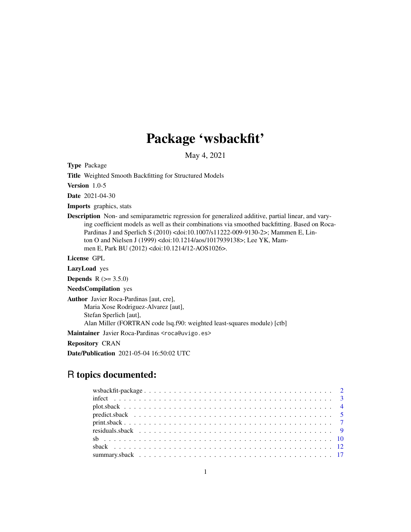# Package 'wsbackfit'

May 4, 2021

<span id="page-0-0"></span>Type Package

Title Weighted Smooth Backfitting for Structured Models

Version 1.0-5

Date 2021-04-30

Imports graphics, stats

Description Non- and semiparametric regression for generalized additive, partial linear, and varying coefficient models as well as their combinations via smoothed backfitting. Based on Roca-Pardinas J and Sperlich S (2010) <doi:10.1007/s11222-009-9130-2>; Mammen E, Linton O and Nielsen J (1999) <doi:10.1214/aos/1017939138>; Lee YK, Mammen E, Park BU (2012) <doi:10.1214/12-AOS1026>.

License GPL

LazyLoad yes

**Depends** R  $(>= 3.5.0)$ 

NeedsCompilation yes

Author Javier Roca-Pardinas [aut, cre],

Maria Xose Rodriguez-Alvarez [aut], Stefan Sperlich [aut], Alan Miller (FORTRAN code lsq.f90: weighted least-squares module) [ctb]

Maintainer Javier Roca-Pardinas <roca@uvigo.es>

Repository CRAN

Date/Publication 2021-05-04 16:50:02 UTC

# R topics documented: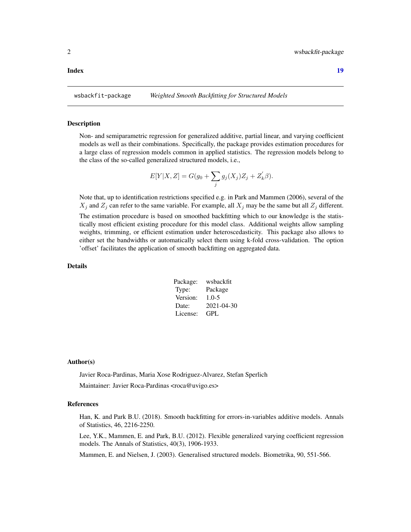#### <span id="page-1-0"></span>**Index** 2008 **Index** 2008 **Index**

wsbackfit-package *Weighted Smooth Backfitting for Structured Models*

#### Description

Non- and semiparametric regression for generalized additive, partial linear, and varying coefficient models as well as their combinations. Specifically, the package provides estimation procedures for a large class of regression models common in applied statistics. The regression models belong to the class of the so-called generalized structured models, i.e.,

$$
E[Y|X, Z] = G(g_0 + \sum_j g_j(X_j)Z_j + Z'_k \beta).
$$

Note that, up to identification restrictions specified e.g. in Park and Mammen (2006), several of the  $X_j$  and  $Z_j$  can refer to the same variable. For example, all  $X_j$  may be the same but all  $Z_j$  different.

The estimation procedure is based on smoothed backfitting which to our knowledge is the statistically most efficient existing procedure for this model class. Additional weights allow sampling weights, trimming, or efficient estimation under heteroscedasticity. This package also allows to either set the bandwidths or automatically select them using k-fold cross-validation. The option 'offset' facilitates the application of smooth backfitting on aggregated data.

# Details

| Package: | wsbackfit  |
|----------|------------|
| Type:    | Package    |
| Version: | $1.0 - 5$  |
| Date:    | 2021-04-30 |
| License: | GPL.       |

#### Author(s)

Javier Roca-Pardinas, Maria Xose Rodriguez-Alvarez, Stefan Sperlich Maintainer: Javier Roca-Pardinas <roca@uvigo.es>

#### References

Han, K. and Park B.U. (2018). Smooth backfitting for errors-in-variables additive models. Annals of Statistics, 46, 2216-2250.

Lee, Y.K., Mammen, E. and Park, B.U. (2012). Flexible generalized varying coefficient regression models. The Annals of Statistics, 40(3), 1906-1933.

Mammen, E. and Nielsen, J. (2003). Generalised structured models. Biometrika, 90, 551-566.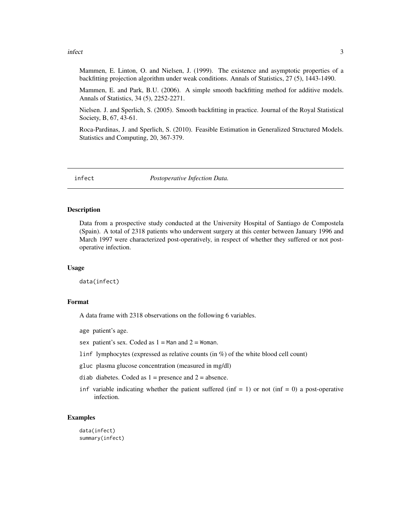#### <span id="page-2-0"></span>infect 3

Mammen, E. Linton, O. and Nielsen, J. (1999). The existence and asymptotic properties of a backfitting projection algorithm under weak conditions. Annals of Statistics, 27 (5), 1443-1490.

Mammen, E. and Park, B.U. (2006). A simple smooth backfitting method for additive models. Annals of Statistics, 34 (5), 2252-2271.

Nielsen. J. and Sperlich, S. (2005). Smooth backfitting in practice. Journal of the Royal Statistical Society, B, 67, 43-61.

Roca-Pardinas, J. and Sperlich, S. (2010). Feasible Estimation in Generalized Structured Models. Statistics and Computing, 20, 367-379.

infect *Postoperative Infection Data.*

# **Description**

Data from a prospective study conducted at the University Hospital of Santiago de Compostela (Spain). A total of 2318 patients who underwent surgery at this center between January 1996 and March 1997 were characterized post-operatively, in respect of whether they suffered or not postoperative infection.

#### Usage

data(infect)

## Format

A data frame with 2318 observations on the following 6 variables.

age patient's age.

sex patient's sex. Coded as  $1 =$  Man and  $2 =$  Woman.

linf lymphocytes (expressed as relative counts (in %) of the white blood cell count)

gluc plasma glucose concentration (measured in mg/dl)

diab diabetes. Coded as  $1 =$  presence and  $2 =$  absence.

inf variable indicating whether the patient suffered (inf  $= 1$ ) or not (inf  $= 0$ ) a post-operative infection.

### Examples

data(infect) summary(infect)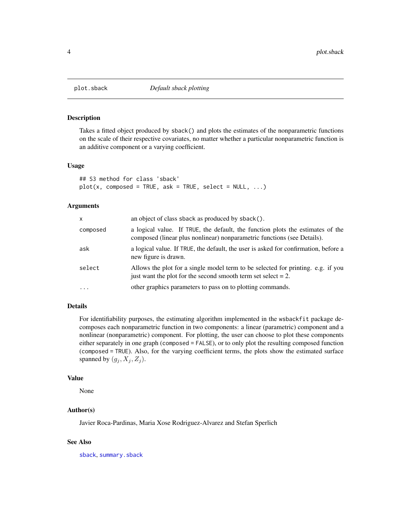<span id="page-3-1"></span><span id="page-3-0"></span>

# Description

Takes a fitted object produced by sback() and plots the estimates of the nonparametric functions on the scale of their respective covariates, no matter whether a particular nonparametric function is an additive component or a varying coefficient.

# Usage

```
## S3 method for class 'sback'
plot(x, composed = TRUE, ask = TRUE, select = NULL, ...)
```
#### Arguments

| x        | an object of class sback as produced by sback().                                                                                                          |
|----------|-----------------------------------------------------------------------------------------------------------------------------------------------------------|
| composed | a logical value. If TRUE, the default, the function plots the estimates of the<br>composed (linear plus nonlinear) nonparametric functions (see Details). |
| ask      | a logical value. If TRUE, the default, the user is asked for confirmation, before a<br>new figure is drawn.                                               |
| select   | Allows the plot for a single model term to be selected for printing. e.g. if you<br>just want the plot for the second smooth term set select $= 2$ .      |
| $\cdot$  | other graphics parameters to pass on to plotting commands.                                                                                                |

# Details

For identifiability purposes, the estimating algorithm implemented in the wsbackfit package decomposes each nonparametric function in two components: a linear (parametric) component and a nonlinear (nonparametric) component. For plotting, the user can choose to plot these components either separately in one graph (composed = FALSE), or to only plot the resulting composed function (composed = TRUE). Also, for the varying coefficient terms, the plots show the estimated surface spanned by  $(q_i, X_i, Z_i)$ .

# Value

None

# Author(s)

Javier Roca-Pardinas, Maria Xose Rodriguez-Alvarez and Stefan Sperlich

### See Also

[sback](#page-11-1), [summary.sback](#page-16-1)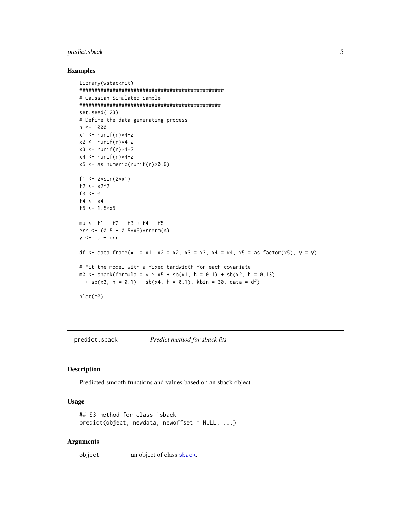# <span id="page-4-0"></span>predict.sback 5

#### Examples

```
library(wsbackfit)
################################################
# Gaussian Simulated Sample
###############################################
set.seed(123)
# Define the data generating process
n <- 1000
x1 \leftarrow runif(n)*4-2x2 \le- runif(n)*4-2
x3 \leftarrow runif(n)*4-2x4 \leftarrow runif(n)*4-2x5 \leq -as.numeric(runif(n)>0.6)
f1 <- 2*sin(2*x1)
f2 <- x2^2f3 < -0f4 <- x4f5 <- 1.5*x5
mu <- f1 + f2 + f3 + f4 + f5
err <- (0.5 + 0.5 \times x5) \times \text{rnorm}(n)y <- mu + err
df <- data.frame(x1 = x1, x2 = x2, x3 = x3, x4 = x4, x5 = as.factor(x5), y = y)
# Fit the model with a fixed bandwidth for each covariate
m0 \le - sback(formula = y \sim x5 + sb(x1, h = 0.1) + sb(x2, h = 0.13)+ sb(x3, h = 0.1) + sb(x4, h = 0.1), kbin = 30, data = df)
plot(m0)
```
predict.sback *Predict method for sback fits*

# Description

Predicted smooth functions and values based on an sback object

#### Usage

```
## S3 method for class 'sback'
predict(objject, new data, newoffset = NULL, ...)
```
#### Arguments

object an object of class [sback](#page-11-1).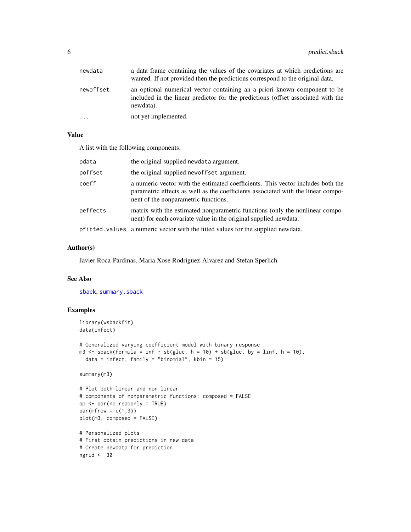<span id="page-5-0"></span>

| newdata   | a data frame containing the values of the covariates at which predictions are<br>wanted. If not provided then the predictions correspond to the original data.             |
|-----------|----------------------------------------------------------------------------------------------------------------------------------------------------------------------------|
| newoffset | an optional numerical vector containing an a priori known component to be<br>included in the linear predictor for the predictions (offset associated with the<br>newdata). |
| $\ddots$  | not yet implemented.                                                                                                                                                       |

# Value

A list with the following components:

| pdata    | the original supplied newdata argument.                                                                                                                                                                     |
|----------|-------------------------------------------------------------------------------------------------------------------------------------------------------------------------------------------------------------|
| poffset  | the original supplied newoffset argument.                                                                                                                                                                   |
| coeff    | a numeric vector with the estimated coefficients. This vector includes both the<br>parametric effects as well as the coefficients associated with the linear compo-<br>nent of the nonparametric functions. |
| peffects | matrix with the estimated nonparametric functions (only the nonlinear compo-<br>nent) for each covariate value in the original supplied newdata.                                                            |
|          | pfitted values a numeric vector with the fitted values for the supplied newdata.                                                                                                                            |

# Author(s)

Javier Roca-Pardinas, Maria Xose Rodriguez-Alvarez and Stefan Sperlich

# See Also

[sback](#page-11-1), [summary.sback](#page-16-1)

```
library(wsbackfit)
data(infect)
```

```
# Generalized varying coefficient model with binary response
m3 \le - sback(formula = inf \sim sb(gluc, h = 10) + sb(gluc, by = linf, h = 10),
  data = infect, family = "binomial", kbin = 15)
```

```
summary(m3)
```

```
# Plot both linear and non linear
# components of nonparametric functions: composed = FALSE
op <- par(no.readonly = TRUE)
par(mfrow = c(1,3))plot(m3, composed = FALSE)
```

```
# Personalized plots
# First obtain predictions in new data
# Create newdata for prediction
ngrid <- 30
```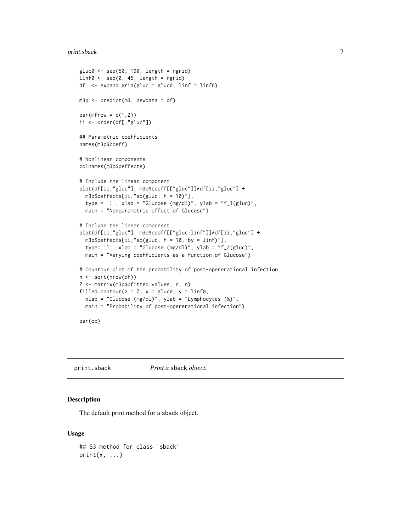#### <span id="page-6-0"></span>print.sback 7

```
gluc0 \leftarrow seq(50, 190, length = ngrid)linfo \leftarrow seq(0, 45, length = ngrid)df <- expand.grid(gluc = gluc0, linf = linf0)
m3p \leq predict(m3, newdata = df)
par(mfrow = c(1,2))ii <- order(df[,"gluc"])
## Parametric coefficients
names(m3p$coeff)
# Nonlinear components
colnames(m3p$peffects)
# Include the linear component
plot(df[ii,"gluc"], m3p$coeff[["gluc"]]*df[ii,"gluc"] +
  m3p$peffects[ii,"sb(gluc, h = 10)"],
  type = '1', xlab = "Glucose (mg/dl)", ylab = "f_1(gluc)",
  main = "Nonparametric effect of Glucose")
# Include the linear component
plot(df[ii,"gluc"], m3p$coeff[["gluc:linf"]]*df[ii,"gluc"] +
  m3p$peffects[ii,"sb(gluc, h = 10, by = linf)"],
  type= 'l', xlab = "Glucose (mg/dl)", ylab = "f_2(gluc)",
  main = "Varying coefficients as a function of Glucose")
# Countour plot of the probability of post-opererational infection
n <- sqrt(nrow(df))
Z <- matrix(m3p$pfitted.values, n, n)
filled.contour(z = Z, x = gluc0, y = linf0,
  xlab = "Glucose (mg/dl)", ylab = "Lymphocytes (%)",
  main = "Probability of post-opererational infection")
par(op)
```
<span id="page-6-1"></span>print.sback *Print a* sback *object.*

# Description

The default print method for a sback object.

#### Usage

```
## S3 method for class 'sback'
print(x, \ldots)
```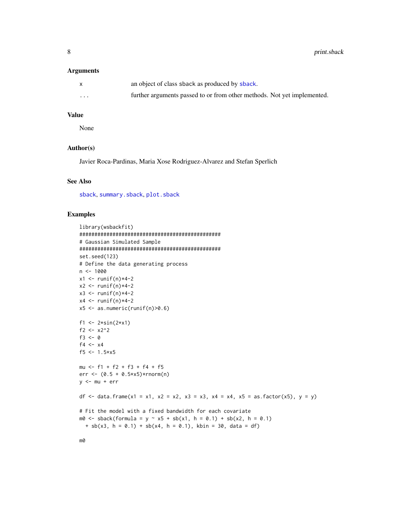#### <span id="page-7-0"></span>Arguments

|                         | an object of class sback as produced by sback.                          |
|-------------------------|-------------------------------------------------------------------------|
| $\cdot$ $\cdot$ $\cdot$ | further arguments passed to or from other methods. Not yet implemented. |

#### Value

None

# Author(s)

Javier Roca-Pardinas, Maria Xose Rodriguez-Alvarez and Stefan Sperlich

# See Also

[sback](#page-11-1), [summary.sback](#page-16-1), [plot.sback](#page-3-1)

```
library(wsbackfit)
###############################################
# Gaussian Simulated Sample
###############################################
set.seed(123)
# Define the data generating process
n < -1000x1 \leftarrow runif(n)*4-2x2 \le- runif(n)*4-2
x3 \leftarrow runif(n)*4-2x4 \leftarrow runif(n)*4-2x5 \leq -as.numeric(runif(n)>0.6)
f1 <- 2*sin(2*x1)
f2 <- x2^2f3 <-0f4 <- x4f5 <- 1.5*x5mu <- f1 + f2 + f3 + f4 + f5
err <- (0.5 + 0.5*x5)*rnorm(n)y <- mu + err
df <- data.frame(x1 = x1, x2 = x2, x3 = x3, x4 = x4, x5 = as.factor(x5), y = y)
# Fit the model with a fixed bandwidth for each covariate
m0 \le - sback(formula = y \sim x5 + sb(x1, h = 0.1) + sb(x2, h = 0.1)+ sb(x3, h = 0.1) + sb(x4, h = 0.1), kbin = 30, data = df)
```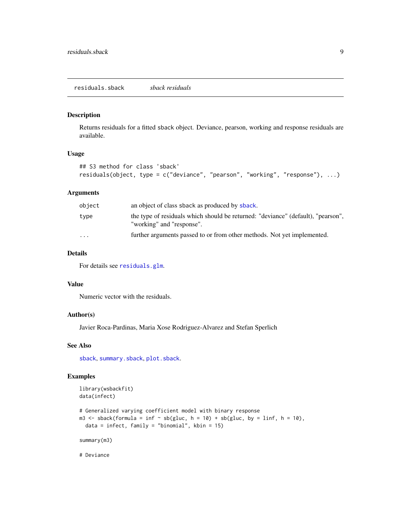#### <span id="page-8-0"></span>Description

Returns residuals for a fitted sback object. Deviance, pearson, working and response residuals are available.

#### Usage

```
## S3 method for class 'sback'
residuals(object, type = c("deviance", "pearson", "working", "response"), ...)
```
# Arguments

| object                  | an object of class sback as produced by sback.                                                                |
|-------------------------|---------------------------------------------------------------------------------------------------------------|
| type                    | the type of residuals which should be returned: "deviance" (default), "pearson",<br>"working" and "response". |
| $\cdot$ $\cdot$ $\cdot$ | further arguments passed to or from other methods. Not yet implemented.                                       |

### Details

For details see [residuals.glm](#page-0-0).

# Value

Numeric vector with the residuals.

# Author(s)

Javier Roca-Pardinas, Maria Xose Rodriguez-Alvarez and Stefan Sperlich

#### See Also

[sback](#page-11-1), [summary.sback](#page-16-1), [plot.sback](#page-3-1).

# Examples

```
library(wsbackfit)
data(infect)
# Generalized varying coefficient model with binary response
m3 \le - sback(formula = inf \sim sb(gluc, h = 10) + sb(gluc, by = linf, h = 10),
  data = infect, family = "binomial", kbin = 15)
```
summary(m3)

# Deviance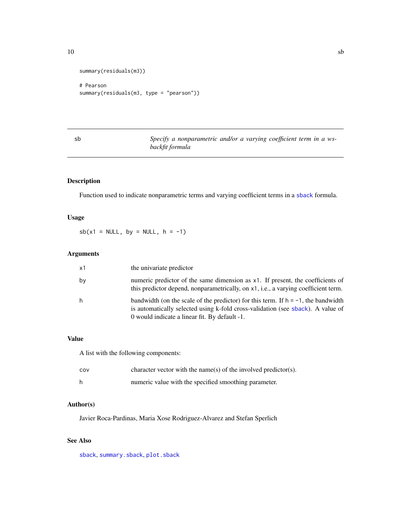<span id="page-9-0"></span> $10$  sb

```
summary(residuals(m3))
```

```
# Pearson
summary(residuals(m3, type = "pearson"))
```
<span id="page-9-1"></span>sb *Specify a nonparametric and/or a varying coefficient term in a wsbackfit formula*

# Description

Function used to indicate nonparametric terms and varying coefficient terms in a [sback](#page-11-1) formula.

# Usage

 $sb(x1 = NULL, by = NULL, h = -1)$ 

# Arguments

| x1 | the univariate predictor                                                                                                                                                                                                 |
|----|--------------------------------------------------------------------------------------------------------------------------------------------------------------------------------------------------------------------------|
| bν | numeric predictor of the same dimension as x1. If present, the coefficients of<br>this predictor depend, nonparametrically, on x1, i.e., a varying coefficient term.                                                     |
| h  | bandwidth (on the scale of the predictor) for this term. If $h = -1$ , the bandwidth<br>is automatically selected using k-fold cross-validation (see sback). A value of<br>0 would indicate a linear fit. By default -1. |

#### Value

A list with the following components:

| COV | character vector with the name(s) of the involved predictor(s). |
|-----|-----------------------------------------------------------------|
|     | numeric value with the specified smoothing parameter.           |

# Author(s)

Javier Roca-Pardinas, Maria Xose Rodriguez-Alvarez and Stefan Sperlich

# See Also

[sback](#page-11-1), [summary.sback](#page-16-1), [plot.sback](#page-3-1)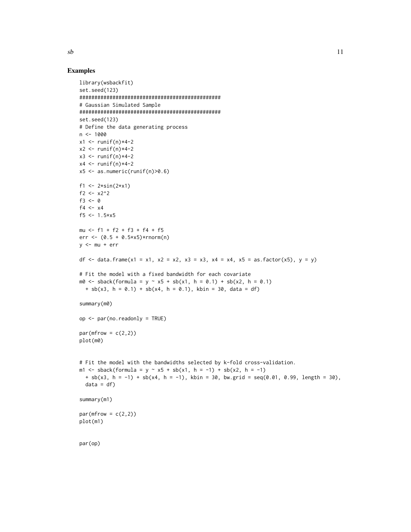```
library(wsbackfit)
set.seed(123)
###############################################
# Gaussian Simulated Sample
###############################################
set.seed(123)
# Define the data generating process
n <- 1000
x1 \leftarrow runif(n)*4-2x2 \le- runif(n)*4-2
x3 \le- runif(n)*4-2
x4 \leftarrow runif(n)*4-2x5 \leq -as.numeric(runif(n)>0.6)
f1 <- 2*sin(2*x1)
f2 <- x2^2f3 < -0f4 <- x4f5 <- 1.5*x5mu <- f1 + f2 + f3 + f4 + f5
err <- (0.5 + 0.5 \times x5) \times \text{rnorm}(n)y <- mu + err
df <- data.frame(x1 = x1, x2 = x2, x3 = x3, x4 = x4, x5 = as.factor(x5), y = y)
# Fit the model with a fixed bandwidth for each covariate
m0 \le - sback(formula = y \sim x5 + sb(x1, h = 0.1) + sb(x2, h = 0.1)+ sb(x3, h = 0.1) + sb(x4, h = 0.1), kbin = 30, data = df)
summary(m0)
op <- par(no.readonly = TRUE)
par(mfrow = c(2,2))plot(m0)
# Fit the model with the bandwidths selected by k-fold cross-validation.
m1 <- sback(formula = y \sim x5 + sb(x1, h = -1) + sb(x2, h = -1)
  + sb(x3, h = -1) + sb(x4, h = -1), kbin = 30, bw.grid = seq(0.01, 0.99, length = 30),
  data = df)summary(m1)
par(mfrow = c(2,2))plot(m1)
par(op)
```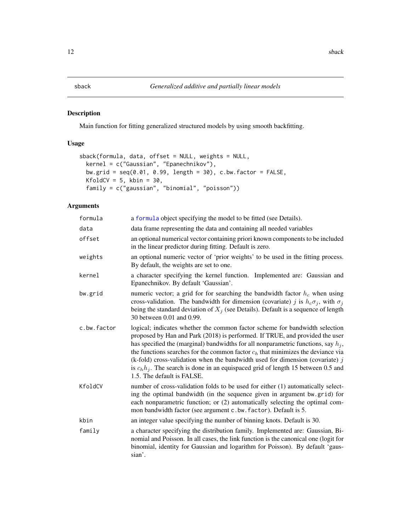#### <span id="page-11-1"></span><span id="page-11-0"></span>Description

Main function for fitting generalized structured models by using smooth backfitting.

# Usage

```
sback(formula, data, offset = NULL, weights = NULL,
 kernel = c("Gaussian", "Epanechnikov"),
 bw.grid = seq(0.01, 0.99, length = 30), c.bw.factor = FALSE,
 KfoldCV = 5, kbin = 30,
 family = c("gaussian", "binomial", "poisson"))
```
# Arguments

| formula     | a formula object specifying the model to be fitted (see Details).                                                                                                                                                                                                                                                                                                                                                                                                                                                                                 |
|-------------|---------------------------------------------------------------------------------------------------------------------------------------------------------------------------------------------------------------------------------------------------------------------------------------------------------------------------------------------------------------------------------------------------------------------------------------------------------------------------------------------------------------------------------------------------|
| data        | data frame representing the data and containing all needed variables                                                                                                                                                                                                                                                                                                                                                                                                                                                                              |
| offset      | an optional numerical vector containing priori known components to be included<br>in the linear predictor during fitting. Default is zero.                                                                                                                                                                                                                                                                                                                                                                                                        |
| weights     | an optional numeric vector of 'prior weights' to be used in the fitting process.<br>By default, the weights are set to one.                                                                                                                                                                                                                                                                                                                                                                                                                       |
| kernel      | a character specifying the kernel function. Implemented are: Gaussian and<br>Epanechnikov. By default 'Gaussian'.                                                                                                                                                                                                                                                                                                                                                                                                                                 |
| bw.grid     | numeric vector; a grid for for searching the bandwidth factor $h_c$ when using<br>cross-validation. The bandwidth for dimension (covariate) j is $h_c \sigma_j$ , with $\sigma_j$<br>being the standard deviation of $X_j$ (see Details). Default is a sequence of length<br>30 between 0.01 and 0.99.                                                                                                                                                                                                                                            |
| c.bw.factor | logical; indicates whether the common factor scheme for bandwidth selection<br>proposed by Han and Park (2018) is performed. If TRUE, and provided the user<br>has specified the (marginal) bandwidths for all nonparametric functions, say $h_j$ ,<br>the functions searches for the common factor $ch$ that minimizes the deviance via<br>(k-fold) cross-validation when the bandwidth used for dimension (covariate) $j$<br>is $c_h h_j$ . The search is done in an equispaced grid of length 15 between 0.5 and<br>1.5. The default is FALSE. |
| KfoldCV     | number of cross-validation folds to be used for either (1) automatically select-<br>ing the optimal bandwidth (in the sequence given in argument bw.grid) for<br>each nonparametric function; or (2) automatically selecting the optimal com-<br>mon bandwidth factor (see argument c.bw. factor). Default is 5.                                                                                                                                                                                                                                  |
| kbin        | an integer value specifying the number of binning knots. Default is 30.                                                                                                                                                                                                                                                                                                                                                                                                                                                                           |
| family      | a character specifying the distribution family. Implemented are: Gaussian, Bi-<br>nomial and Poisson. In all cases, the link function is the canonical one (logit for<br>binomial, identity for Gaussian and logarithm for Poisson). By default 'gaus-<br>sian'.                                                                                                                                                                                                                                                                                  |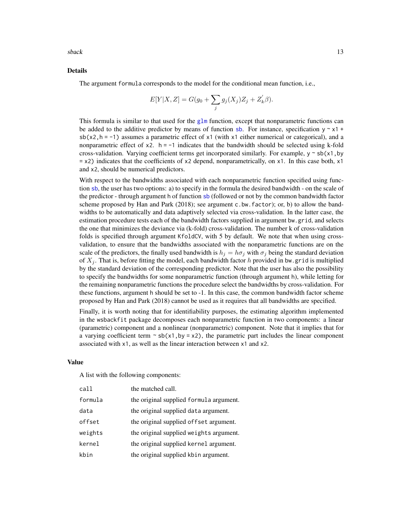<span id="page-12-0"></span> $s$ back  $13$ 

#### Details

The argument formula corresponds to the model for the conditional mean function, i.e.,

$$
E[Y|X, Z] = G(g_0 + \sum_j g_j(X_j)Z_j + Z'_k \beta).
$$

This formula is similar to that used for the  $g1m$  function, except that nonparametric functions can be added to the additive predictor by means of function [sb](#page-9-1). For instance, specification  $y \sim x1 +$  $s$ b(x2,h = -1) assumes a parametric effect of x1 (with x1 either numerical or categorical), and a nonparametric effect of  $x^2$ . h = -1 indicates that the bandwidth should be selected using k-fold cross-validation. Varying coefficient terms get incorporated similarly. For example,  $y \sim sb(x1,by)$  $= x2$ ) indicates that the coefficients of x2 depend, nonparametrically, on x1. In this case both, x1 and x2, should be numerical predictors.

With respect to the bandwidths associated with each nonparametric function specified using function [sb](#page-9-1), the user has two options: a) to specify in the formula the desired bandwidth - on the scale of the predictor - through argument h of function [sb](#page-9-1) (followed or not by the common bandwidth factor scheme proposed by Han and Park (2018); see argument c.bw.factor); or, b) to allow the bandwidths to be automatically and data adaptively selected via cross-validation. In the latter case, the estimation procedure tests each of the bandwidth factors supplied in argument bw.grid, and selects the one that minimizes the deviance via (k-fold) cross-validation. The number k of cross-validation folds is specified through argument KfoldCV, with 5 by default. We note that when using crossvalidation, to ensure that the bandwidths associated with the nonparametric functions are on the scale of the predictors, the finally used bandwidth is  $h_j = h\sigma_j$  with  $\sigma_j$  being the standard deviation of  $X_i$ . That is, before fitting the model, each bandwidth factor h provided in bw.grid is multiplied by the standard deviation of the corresponding predictor. Note that the user has also the possibility to specify the bandwidths for some nonparametric function (through argument h), while letting for the remaining nonparametric functions the procedure select the bandwidths by cross-validation. For these functions, argument h should be set to -1. In this case, the common bandwidth factor scheme proposed by Han and Park (2018) cannot be used as it requires that all bandwidths are specified.

Finally, it is worth noting that for identifiability purposes, the estimating algorithm implemented in the wsbackfit package decomposes each nonparametric function in two components: a linear (parametric) component and a nonlinear (nonparametric) component. Note that it implies that for a varying coefficient term  $\sim$  sb(x1, by = x2), the parametric part includes the linear component associated with x1, as well as the linear interaction between x1 and x2.

#### Value

A list with the following components:

| call    | the matched call.                       |
|---------|-----------------------------------------|
| formula | the original supplied formula argument. |
| data    | the original supplied data argument.    |
| offset  | the original supplied of fset argument. |
| weights | the original supplied weights argument. |
| kernel  | the original supplied kernel argument.  |
| kbin    | the original supplied kbin argument.    |
|         |                                         |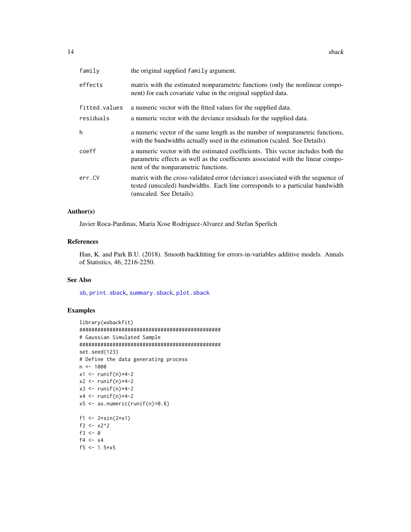<span id="page-13-0"></span>

| family        | the original supplied family argument.                                                                                                                                                                      |
|---------------|-------------------------------------------------------------------------------------------------------------------------------------------------------------------------------------------------------------|
| effects       | matrix with the estimated nonparametric functions (only the nonlinear compo-<br>nent) for each covariate value in the original supplied data.                                                               |
| fitted.values | a numeric vector with the fitted values for the supplied data.                                                                                                                                              |
| residuals     | a numeric vector with the deviance residuals for the supplied data.                                                                                                                                         |
| h             | a numeric vector of the same length as the number of nonparametric functions,<br>with the bandwidths actually used in the estimation (scaled. See Details).                                                 |
| coeff         | a numeric vector with the estimated coefficients. This vector includes both the<br>parametric effects as well as the coefficients associated with the linear compo-<br>nent of the nonparametric functions. |
| err.CV        | matrix with the cross-validated error (deviance) associated with the sequence of<br>tested (unscaled) bandwidths. Each line corresponds to a particular bandwidth<br>(unscaled. See Details).               |
|               |                                                                                                                                                                                                             |

# Author(s)

Javier Roca-Pardinas, Maria Xose Rodriguez-Alvarez and Stefan Sperlich

### References

Han, K. and Park B.U. (2018). Smooth backfitting for errors-in-variables additive models. Annals of Statistics, 46, 2216-2250.

#### See Also

[sb](#page-9-1), [print.sback](#page-6-1), [summary.sback](#page-16-1), [plot.sback](#page-3-1)

```
library(wsbackfit)
###############################################
# Gaussian Simulated Sample
###############################################
set.seed(123)
# Define the data generating process
n < -1000x1 \leftarrow runif(n)*4-2x2 \le- runif(n)*4-2
x3 \leftarrow runif(n)*4-2x4 \leftarrow runif(n)*4-2x5 \leq -as.numeric(runif(n)>0.6)
f1 <- 2*sin(2*x1)
f2 <- x2^2f3 <-0f4 <- x4f5 <- 1.5*x5
```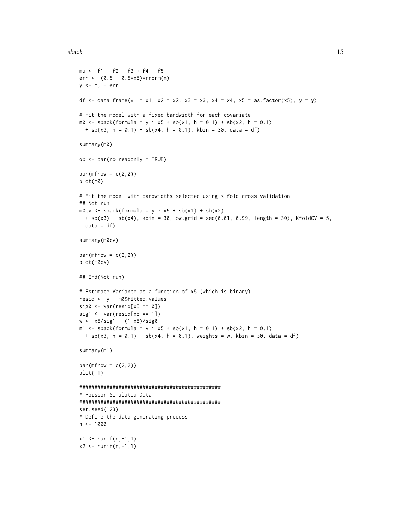#### sback the state of the state of the state of the state of the state of the state of the state of the state of the state of the state of the state of the state of the state of the state of the state of the state of the stat

```
mu <- f1 + f2 + f3 + f4 + f5
err <- (0.5 + 0.5*x5)*rnorm(n)y <- mu + err
df <- data.frame(x1 = x1, x2 = x2, x3 = x3, x4 = x4, x5 = as.factor(x5), y = y)
# Fit the model with a fixed bandwidth for each covariate
m0 \le - sback(formula = y \sim x5 + sb(x1, h = 0.1) + sb(x2, h = 0.1)+ sb(x3, h = 0.1) + sb(x4, h = 0.1), kbin = 30, data = df)
summary(m0)
op <- par(no.readonly = TRUE)
par(mfrow = c(2,2))plot(m0)
# Fit the model with bandwidths selectec using K-fold cross-validation
## Not run:
m0cv \leq 3 sback(formula = y \sim x5 + sb(x1) + sb(x2)+ sb(x3) + sb(x4), kbin = 30, bw.grid = seq(0.01, 0.99, length = 30), KfoldCV = 5,
 data = dfsummary(m0cv)
par(mfrow = c(2,2))plot(m0cv)
## End(Not run)
# Estimate Variance as a function of x5 (which is binary)
resid <- y - m0$fitted.values
sig0 \leftarrow var(resid[x5 == 0])sig1 \leftarrow var(resid[x5 == 1])w <- x5/sig1 + (1-x5)/sig0
m1 <- sback(formula = y ~ x5 + sb(x1, h = 0.1) + sb(x2, h = 0.1)
  + sb(x3, h = 0.1) + sb(x4, h = 0.1), weights = w, kbin = 30, data = df)
summary(m1)
par(mfrow = c(2,2))plot(m1)
###############################################
# Poisson Simulated Data
###############################################
set.seed(123)
# Define the data generating process
n < -1000x1 \le runif(n,-1,1)
x2 \le runif(n,-1,1)
```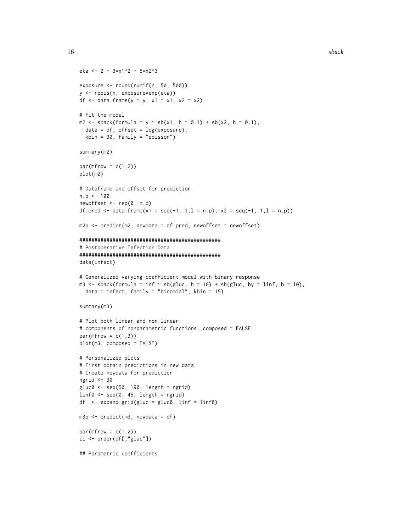```
eta <- 2 + 3*x1^2 + 5*x2^3
exposure <- round(runif(n, 50, 500))
y <- rpois(n, exposure*exp(eta))
df <- data.frame(y = y, x1 = x1, x2 = x2)
# Fit the model
m2 \le - sback(formula = y \sim sb(x1, h = 0.1) + sb(x2, h = 0.1),
  data = df, offset = log(exposure),
  kbin = 30, family = "poisson")
summary(m2)
par(mfrow = c(1,2))plot(m2)
# Dataframe and offset for prediction
n.p < -100newoffset <- rep(0, n.p)
df.pred <- data.frame(x1 = seq(-1, 1,1 = n.p), x2 = seq(-1, 1,1 = n.p))
m2p \leq p redict(m2, newdata = df.pred, newoffset = newoffset)
###############################################
# Postoperative Infection Data
###############################################
data(infect)
# Generalized varying coefficient model with binary response
m3 <- sback(formula = inf \sim sb(gluc, h = 10) + sb(gluc, by = linf, h = 10),
 data = infect, family = "binomial", kbin = 15)
summary(m3)
# Plot both linear and non linear
# components of nonparametric functions: composed = FALSE
par(mfrow = c(1,3))plot(m3, composed = FALSE)
# Personalized plots
# First obtain predictions in new data
# Create newdata for prediction
ngrid <- 30
gluc0 <- seq(50, 190, length = ngrid)
linf@ \leftarrow seq(0, 45, length = ngrid)df \leq expand.grid(gluc = gluc0, linf = linf0)
m3p <- predict(m3, newdata = df)
par(mfrow = c(1,2))ii <- order(df[,"gluc"])
## Parametric coefficients
```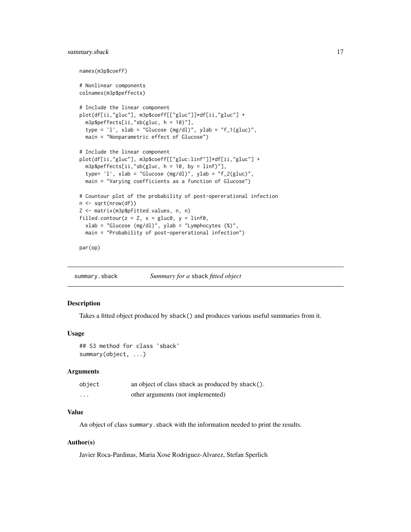# <span id="page-16-0"></span>summary.sback 17

```
names(m3p$coeff)
# Nonlinear components
colnames(m3p$peffects)
# Include the linear component
plot(df[ii,"gluc"], m3p$coeff[["gluc"]]*df[ii,"gluc"] +
 m3p$peffects[ii,"sb(gluc, h = 10)"],
 type = '1', xlab = "Glucose (mg/dl)", ylab = "f_1(gluc)",
 main = "Nonparametric effect of Glucose")
# Include the linear component
plot(df[ii,"gluc"], m3p$coeff[["gluc:linf"]]*df[ii,"gluc"] +
 m3p$peffects[ii,"sb(gluc, h = 10, by = linf)"],
 type= 'l', xlab = "Glucose (mg/dl)", ylab = "f_2(gluc)",
 main = "Varying coefficients as a function of Glucose")
# Countour plot of the probability of post-opererational infection
n <- sqrt(nrow(df))
Z <- matrix(m3p$pfitted.values, n, n)
filled.contour(z = Z, x = gluc0, y = linf0,
 xlab = "Glucose (mg/dl)", ylab = "Lymphocytes (%)",
 main = "Probability of post-opererational infection")
par(op)
```
<span id="page-16-1"></span>summary.sback *Summary for a* sback *fitted object*

#### Description

Takes a fitted object produced by sback() and produces various useful summaries from it.

#### Usage

```
## S3 method for class 'sback'
summary(object, ...)
```
#### Arguments

| object   | an object of class sback as produced by sback(). |
|----------|--------------------------------------------------|
| $\cdots$ | other arguments (not implemented)                |

# Value

An object of class summary. sback with the information needed to print the results.

### Author(s)

Javier Roca-Pardinas, Maria Xose Rodriguez-Alvarez, Stefan Sperlich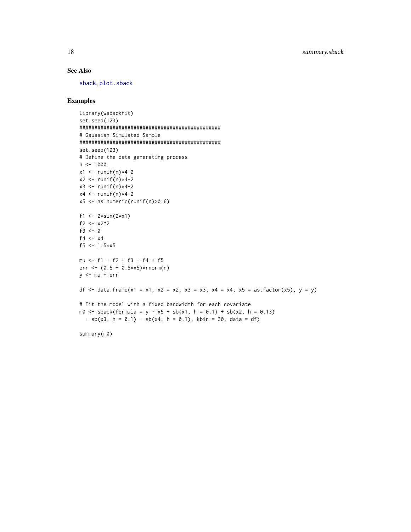# <span id="page-17-0"></span>See Also

[sback](#page-11-1), [plot.sback](#page-3-1)

```
library(wsbackfit)
set.seed(123)
###############################################
# Gaussian Simulated Sample
###############################################
set.seed(123)
# Define the data generating process
n <- 1000
x1 \leftarrow runif(n)*4-2x2 \le- runif(n)*4-2
x3 \le- runif(n)*4-2
x4 \leftarrow runif(n)*4-2x5 \leq -as.numeric(runif(n)>0.6)
f1 <- 2*sin(2*x1)
f2 <- x2^2f3 < -0f4 <- x4f5 <- 1.5*x5mu <- f1 + f2 + f3 + f4 + f5
err <- (0.5 + 0.5*x5)*rnorm(n)y \le -mu + errdf <- data.frame(x1 = x1, x2 = x2, x3 = x3, x4 = x4, x5 = as.factor(x5), y = y)
# Fit the model with a fixed bandwidth for each covariate
m0 \le - sback(formula = y \sim x5 + sb(x1, h = 0.1) + sb(x2, h = 0.13)+ sb(x3, h = 0.1) + sb(x4, h = 0.1), kbin = 30, data = df)
summary(m0)
```